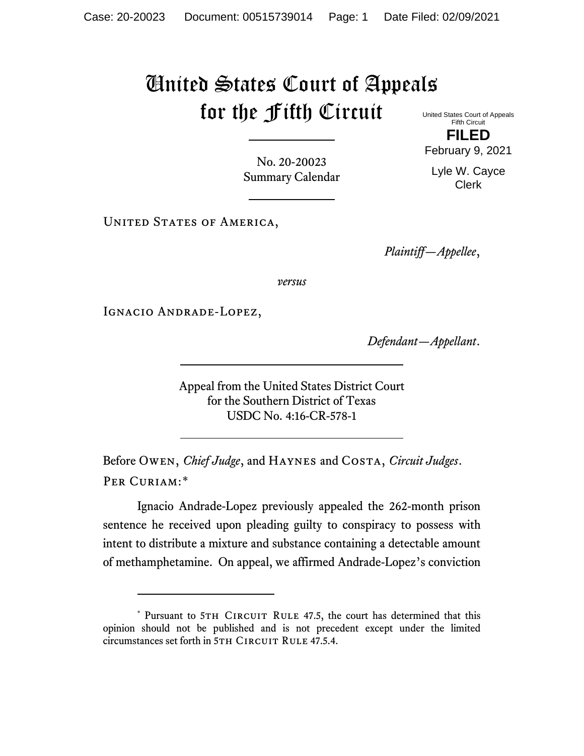## United States Court of Appeals for the Fifth Circuit

United States Court of Appeals Fifth Circuit **FILED**

No. 20-20023 Summary Calendar

UNITED STATES OF AMERICA,

*Plaintiff—Appellee*,

*versus*

Ignacio Andrade-Lopez,

*Defendant—Appellant*.

Appeal from the United States District Court for the Southern District of Texas USDC No. 4:16-CR-578-1

Before Owen, *Chief Judge*, and Haynes and Costa, *Circuit Judges*. Per Curiam:[\\*](#page-0-0)

Ignacio Andrade-Lopez previously appealed the 262-month prison sentence he received upon pleading guilty to conspiracy to possess with intent to distribute a mixture and substance containing a detectable amount of methamphetamine. On appeal, we affirmed Andrade-Lopez's conviction

February 9, 2021

Lyle W. Cayce Clerk

<span id="page-0-0"></span><sup>\*</sup> Pursuant to 5TH CIRCUIT RULE 47.5, the court has determined that this opinion should not be published and is not precedent except under the limited circumstances set forth in 5TH CIRCUIT RULE 47.5.4.